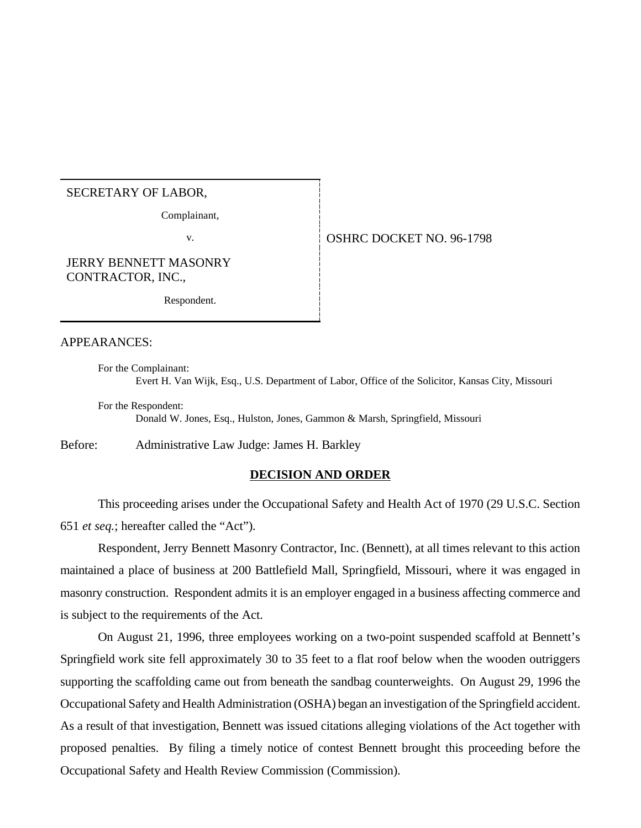# SECRETARY OF LABOR,

Complainant,

# v. **CONFIDENT OF STATE OF STATE OF STATE OF STATE OF STATE OF STATE OF STATE OF STATE OF STATE OF STATE OF STATE OF STATE OF STATE OF STATE OF STATE OF STATE OF STATE OF STATE OF STATE OF STATE OF STATE OF STATE OF STATE O**

JERRY BENNETT MASONRY CONTRACTOR, INC.,

Respondent.

#### APPEARANCES:

For the Complainant: Evert H. Van Wijk, Esq., U.S. Department of Labor, Office of the Solicitor, Kansas City, Missouri

For the Respondent: Donald W. Jones, Esq., Hulston, Jones, Gammon & Marsh, Springfield, Missouri

Before: Administrative Law Judge: James H. Barkley

#### **DECISION AND ORDER**

This proceeding arises under the Occupational Safety and Health Act of 1970 (29 U.S.C. Section 651 *et seq.*; hereafter called the "Act").

Respondent, Jerry Bennett Masonry Contractor, Inc. (Bennett), at all times relevant to this action maintained a place of business at 200 Battlefield Mall, Springfield, Missouri, where it was engaged in masonry construction. Respondent admits it is an employer engaged in a business affecting commerce and is subject to the requirements of the Act.

On August 21, 1996, three employees working on a two-point suspended scaffold at Bennett's Springfield work site fell approximately 30 to 35 feet to a flat roof below when the wooden outriggers supporting the scaffolding came out from beneath the sandbag counterweights. On August 29, 1996 the Occupational Safety and Health Administration (OSHA) began an investigation of the Springfield accident. As a result of that investigation, Bennett was issued citations alleging violations of the Act together with proposed penalties. By filing a timely notice of contest Bennett brought this proceeding before the Occupational Safety and Health Review Commission (Commission).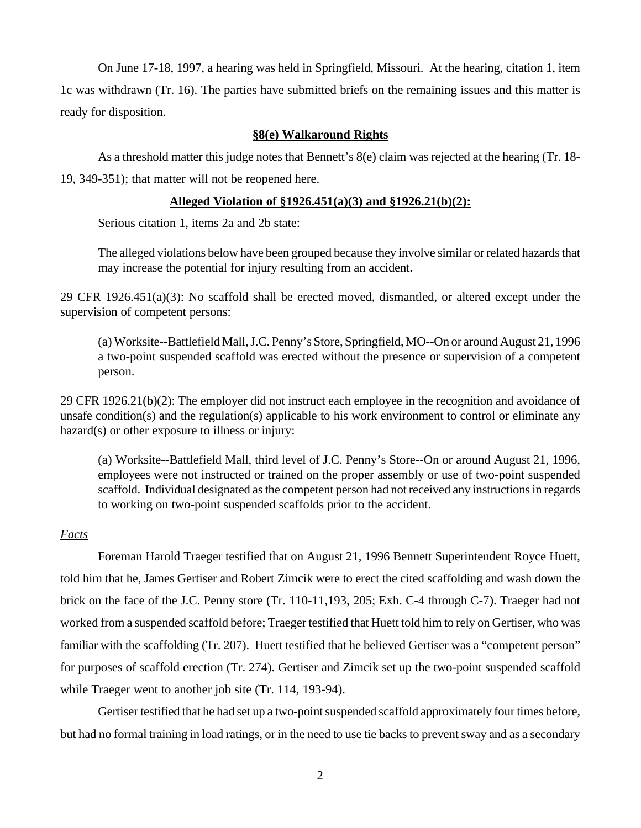On June 17-18, 1997, a hearing was held in Springfield, Missouri. At the hearing, citation 1, item 1c was withdrawn (Tr. 16). The parties have submitted briefs on the remaining issues and this matter is ready for disposition.

# **§8(e) Walkaround Rights**

As a threshold matter this judge notes that Bennett's 8(e) claim was rejected at the hearing (Tr. 18- 19, 349-351); that matter will not be reopened here.

# **Alleged Violation of §1926.451(a)(3) and §1926.21(b)(2):**

Serious citation 1, items 2a and 2b state:

The alleged violations below have been grouped because they involve similar or related hazards that may increase the potential for injury resulting from an accident.

29 CFR 1926.451(a)(3): No scaffold shall be erected moved, dismantled, or altered except under the supervision of competent persons:

(a) Worksite--Battlefield Mall, J.C. Penny's Store, Springfield, MO--On or around August 21, 1996 a two-point suspended scaffold was erected without the presence or supervision of a competent person.

29 CFR 1926.21(b)(2): The employer did not instruct each employee in the recognition and avoidance of unsafe condition(s) and the regulation(s) applicable to his work environment to control or eliminate any hazard(s) or other exposure to illness or injury:

(a) Worksite--Battlefield Mall, third level of J.C. Penny's Store--On or around August 21, 1996, employees were not instructed or trained on the proper assembly or use of two-point suspended scaffold. Individual designated as the competent person had not received any instructions in regards to working on two-point suspended scaffolds prior to the accident.

## *Facts*

Foreman Harold Traeger testified that on August 21, 1996 Bennett Superintendent Royce Huett, told him that he, James Gertiser and Robert Zimcik were to erect the cited scaffolding and wash down the brick on the face of the J.C. Penny store (Tr. 110-11,193, 205; Exh. C-4 through C-7). Traeger had not worked from a suspended scaffold before; Traeger testified that Huett told him to rely on Gertiser, who was familiar with the scaffolding (Tr. 207). Huett testified that he believed Gertiser was a "competent person" for purposes of scaffold erection (Tr. 274). Gertiser and Zimcik set up the two-point suspended scaffold while Traeger went to another job site (Tr. 114, 193-94).

Gertiser testified that he had set up a two-point suspended scaffold approximately four times before, but had no formal training in load ratings, or in the need to use tie backs to prevent sway and as a secondary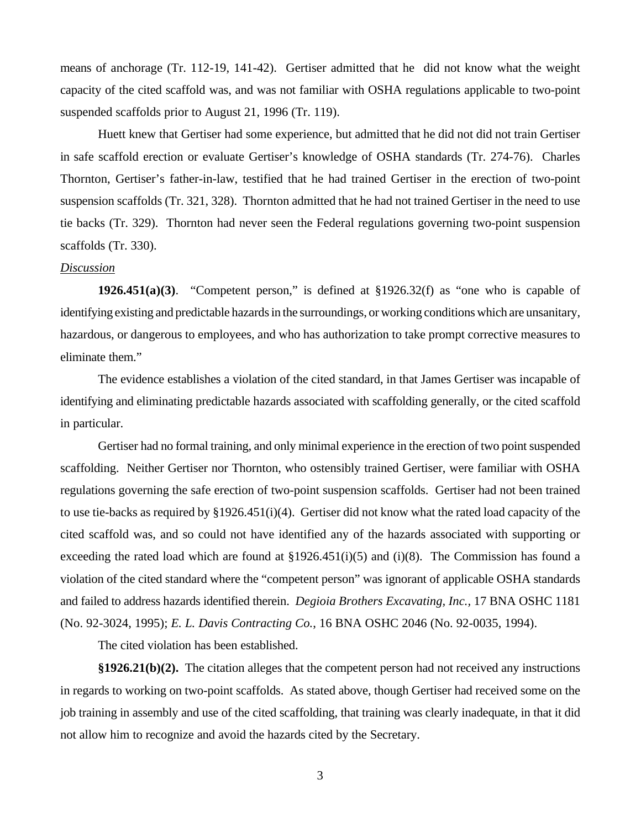means of anchorage (Tr. 112-19, 141-42). Gertiser admitted that he did not know what the weight capacity of the cited scaffold was, and was not familiar with OSHA regulations applicable to two-point suspended scaffolds prior to August 21, 1996 (Tr. 119).

Huett knew that Gertiser had some experience, but admitted that he did not did not train Gertiser in safe scaffold erection or evaluate Gertiser's knowledge of OSHA standards (Tr. 274-76). Charles Thornton, Gertiser's father-in-law, testified that he had trained Gertiser in the erection of two-point suspension scaffolds (Tr. 321, 328). Thornton admitted that he had not trained Gertiser in the need to use tie backs (Tr. 329). Thornton had never seen the Federal regulations governing two-point suspension scaffolds (Tr. 330).

#### *Discussion*

**1926.451(a)(3).** "Competent person," is defined at  $\S 1926.32(f)$  as "one who is capable of identifying existing and predictable hazards in the surroundings, or working conditions which are unsanitary, hazardous, or dangerous to employees, and who has authorization to take prompt corrective measures to eliminate them."

The evidence establishes a violation of the cited standard, in that James Gertiser was incapable of identifying and eliminating predictable hazards associated with scaffolding generally, or the cited scaffold in particular.

Gertiser had no formal training, and only minimal experience in the erection of two point suspended scaffolding. Neither Gertiser nor Thornton, who ostensibly trained Gertiser, were familiar with OSHA regulations governing the safe erection of two-point suspension scaffolds. Gertiser had not been trained to use tie-backs as required by §1926.451(i)(4). Gertiser did not know what the rated load capacity of the cited scaffold was, and so could not have identified any of the hazards associated with supporting or exceeding the rated load which are found at  $\S 1926.451(i)(5)$  and (i)(8). The Commission has found a violation of the cited standard where the "competent person" was ignorant of applicable OSHA standards and failed to address hazards identified therein. *Degioia Brothers Excavating, Inc.,* 17 BNA OSHC 1181 (No. 92-3024, 1995); *E. L. Davis Contracting Co.*, 16 BNA OSHC 2046 (No. 92-0035, 1994).

The cited violation has been established.

**§1926.21(b)(2).** The citation alleges that the competent person had not received any instructions in regards to working on two-point scaffolds. As stated above, though Gertiser had received some on the job training in assembly and use of the cited scaffolding, that training was clearly inadequate, in that it did not allow him to recognize and avoid the hazards cited by the Secretary.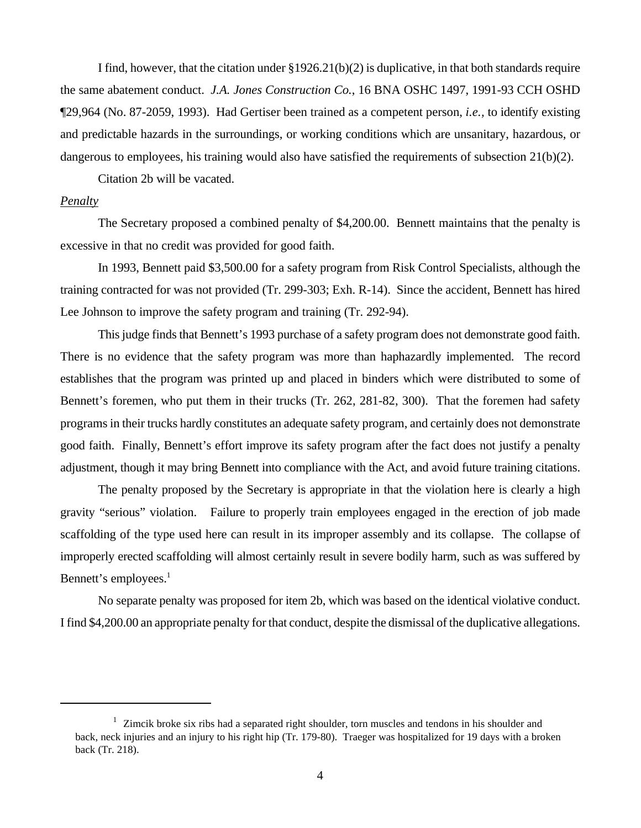I find, however, that the citation under  $\S 1926.21(b)(2)$  is duplicative, in that both standards require the same abatement conduct. *J.A. Jones Construction Co.*, 16 BNA OSHC 1497, 1991-93 CCH OSHD ¶29,964 (No. 87-2059, 1993). Had Gertiser been trained as a competent person, *i.e.,* to identify existing and predictable hazards in the surroundings, or working conditions which are unsanitary, hazardous, or dangerous to employees, his training would also have satisfied the requirements of subsection  $21(b)(2)$ .

Citation 2b will be vacated.

### *Penalty*

The Secretary proposed a combined penalty of \$4,200.00. Bennett maintains that the penalty is excessive in that no credit was provided for good faith.

In 1993, Bennett paid \$3,500.00 for a safety program from Risk Control Specialists, although the training contracted for was not provided (Tr. 299-303; Exh. R-14). Since the accident, Bennett has hired Lee Johnson to improve the safety program and training (Tr. 292-94).

This judge finds that Bennett's 1993 purchase of a safety program does not demonstrate good faith. There is no evidence that the safety program was more than haphazardly implemented. The record establishes that the program was printed up and placed in binders which were distributed to some of Bennett's foremen, who put them in their trucks (Tr. 262, 281-82, 300). That the foremen had safety programs in their trucks hardly constitutes an adequate safety program, and certainly does not demonstrate good faith. Finally, Bennett's effort improve its safety program after the fact does not justify a penalty adjustment, though it may bring Bennett into compliance with the Act, and avoid future training citations.

The penalty proposed by the Secretary is appropriate in that the violation here is clearly a high gravity "serious" violation. Failure to properly train employees engaged in the erection of job made scaffolding of the type used here can result in its improper assembly and its collapse. The collapse of improperly erected scaffolding will almost certainly result in severe bodily harm, such as was suffered by Bennett's employees.<sup>1</sup>

No separate penalty was proposed for item 2b, which was based on the identical violative conduct. I find \$4,200.00 an appropriate penalty for that conduct, despite the dismissal of the duplicative allegations.

<sup>&</sup>lt;sup>1</sup> Zimcik broke six ribs had a separated right shoulder, torn muscles and tendons in his shoulder and back, neck injuries and an injury to his right hip (Tr. 179-80). Traeger was hospitalized for 19 days with a broken back (Tr. 218).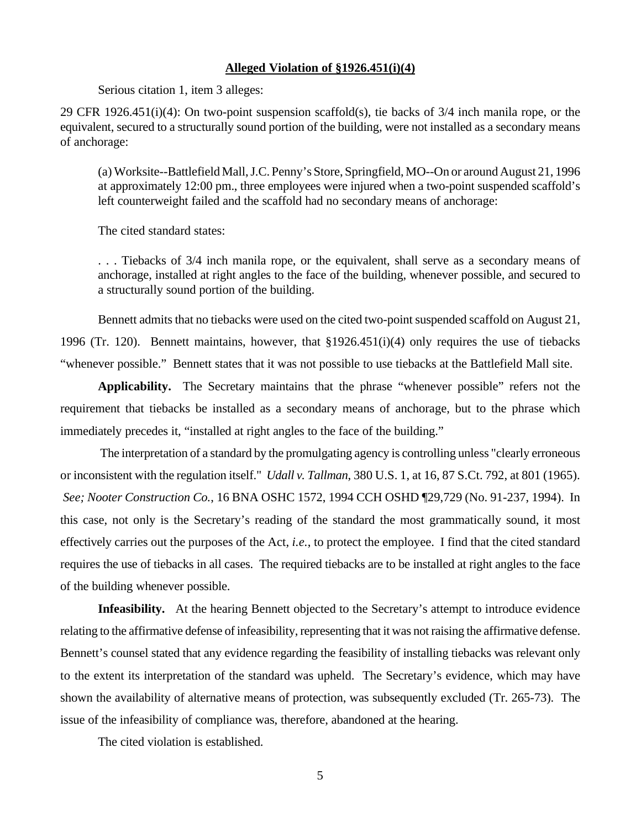#### **Alleged Violation of §1926.451(i)(4)**

Serious citation 1, item 3 alleges:

29 CFR 1926.451(i)(4): On two-point suspension scaffold(s), tie backs of 3/4 inch manila rope, or the equivalent, secured to a structurally sound portion of the building, were not installed as a secondary means of anchorage:

(a) Worksite--Battlefield Mall, J.C. Penny's Store, Springfield, MO--On or around August 21, 1996 at approximately 12:00 pm., three employees were injured when a two-point suspended scaffold's left counterweight failed and the scaffold had no secondary means of anchorage:

The cited standard states:

. . . Tiebacks of 3/4 inch manila rope, or the equivalent, shall serve as a secondary means of anchorage, installed at right angles to the face of the building, whenever possible, and secured to a structurally sound portion of the building.

Bennett admits that no tiebacks were used on the cited two-point suspended scaffold on August 21, 1996 (Tr. 120). Bennett maintains, however, that §1926.451(i)(4) only requires the use of tiebacks "whenever possible." Bennett states that it was not possible to use tiebacks at the Battlefield Mall site.

**Applicability.** The Secretary maintains that the phrase "whenever possible" refers not the requirement that tiebacks be installed as a secondary means of anchorage, but to the phrase which immediately precedes it, "installed at right angles to the face of the building."

 The interpretation of a standard by the promulgating agency is controlling unless "clearly erroneous or inconsistent with the regulation itself." *Udall v. Tallman*, 380 U.S. 1, at 16, 87 S.Ct. 792, at 801 (1965). *See; Nooter Construction Co.*, 16 BNA OSHC 1572, 1994 CCH OSHD ¶29,729 (No. 91-237, 1994). In this case, not only is the Secretary's reading of the standard the most grammatically sound, it most effectively carries out the purposes of the Act, *i.e.*, to protect the employee. I find that the cited standard requires the use of tiebacks in all cases. The required tiebacks are to be installed at right angles to the face of the building whenever possible.

**Infeasibility.** At the hearing Bennett objected to the Secretary's attempt to introduce evidence relating to the affirmative defense of infeasibility, representing that it was not raising the affirmative defense. Bennett's counsel stated that any evidence regarding the feasibility of installing tiebacks was relevant only to the extent its interpretation of the standard was upheld. The Secretary's evidence, which may have shown the availability of alternative means of protection, was subsequently excluded (Tr. 265-73). The issue of the infeasibility of compliance was, therefore, abandoned at the hearing.

The cited violation is established.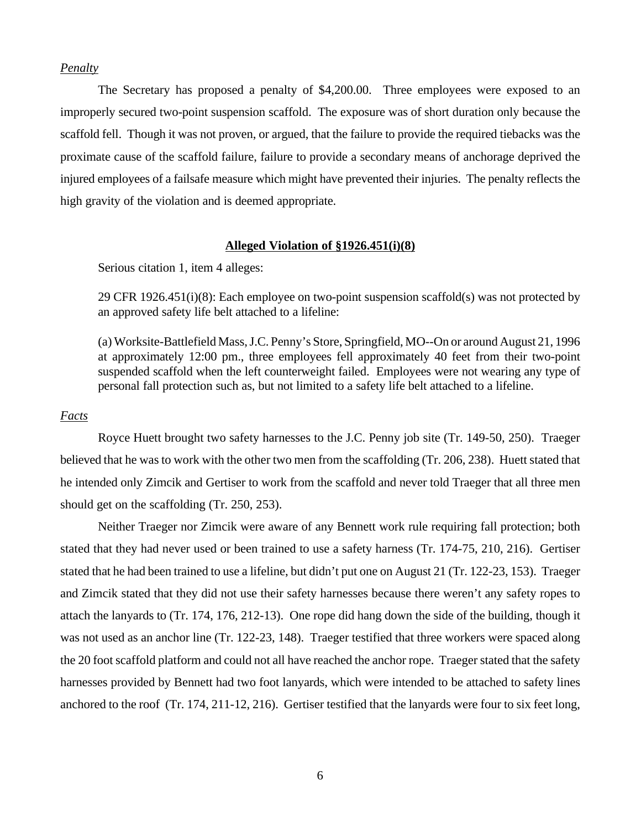# *Penalty*

The Secretary has proposed a penalty of \$4,200.00. Three employees were exposed to an improperly secured two-point suspension scaffold. The exposure was of short duration only because the scaffold fell. Though it was not proven, or argued, that the failure to provide the required tiebacks was the proximate cause of the scaffold failure, failure to provide a secondary means of anchorage deprived the injured employees of a failsafe measure which might have prevented their injuries. The penalty reflects the high gravity of the violation and is deemed appropriate.

### **Alleged Violation of §1926.451(i)(8)**

Serious citation 1, item 4 alleges:

29 CFR 1926.451(i)(8): Each employee on two-point suspension scaffold(s) was not protected by an approved safety life belt attached to a lifeline:

(a) Worksite-Battlefield Mass, J.C. Penny's Store, Springfield, MO--On or around August 21, 1996 at approximately 12:00 pm., three employees fell approximately 40 feet from their two-point suspended scaffold when the left counterweight failed. Employees were not wearing any type of personal fall protection such as, but not limited to a safety life belt attached to a lifeline.

### *Facts*

Royce Huett brought two safety harnesses to the J.C. Penny job site (Tr. 149-50, 250). Traeger believed that he was to work with the other two men from the scaffolding (Tr. 206, 238). Huett stated that he intended only Zimcik and Gertiser to work from the scaffold and never told Traeger that all three men should get on the scaffolding (Tr. 250, 253).

Neither Traeger nor Zimcik were aware of any Bennett work rule requiring fall protection; both stated that they had never used or been trained to use a safety harness (Tr. 174-75, 210, 216). Gertiser stated that he had been trained to use a lifeline, but didn't put one on August 21 (Tr. 122-23, 153). Traeger and Zimcik stated that they did not use their safety harnesses because there weren't any safety ropes to attach the lanyards to (Tr. 174, 176, 212-13). One rope did hang down the side of the building, though it was not used as an anchor line (Tr. 122-23, 148). Traeger testified that three workers were spaced along the 20 foot scaffold platform and could not all have reached the anchor rope. Traeger stated that the safety harnesses provided by Bennett had two foot lanyards, which were intended to be attached to safety lines anchored to the roof (Tr. 174, 211-12, 216). Gertiser testified that the lanyards were four to six feet long,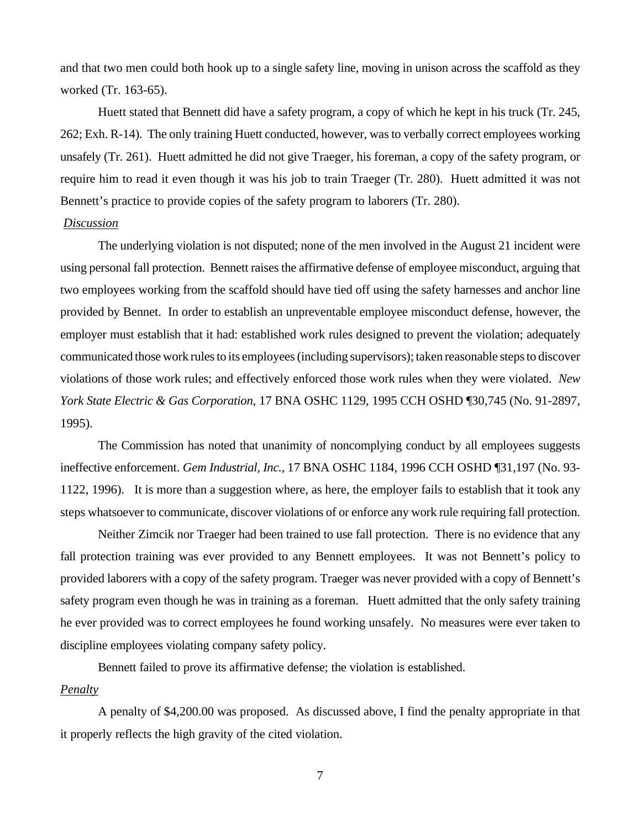and that two men could both hook up to a single safety line, moving in unison across the scaffold as they worked (Tr. 163-65).

Huett stated that Bennett did have a safety program, a copy of which he kept in his truck (Tr. 245, 262; Exh. R-14). The only training Huett conducted, however, was to verbally correct employees working unsafely (Tr. 261). Huett admitted he did not give Traeger, his foreman, a copy of the safety program, or require him to read it even though it was his job to train Traeger (Tr. 280). Huett admitted it was not Bennett's practice to provide copies of the safety program to laborers (Tr. 280).

# *Discussion*

The underlying violation is not disputed; none of the men involved in the August 21 incident were using personal fall protection. Bennett raises the affirmative defense of employee misconduct, arguing that two employees working from the scaffold should have tied off using the safety harnesses and anchor line provided by Bennet. In order to establish an unpreventable employee misconduct defense, however, the employer must establish that it had: established work rules designed to prevent the violation; adequately communicated those work rules to its employees (including supervisors); taken reasonable steps to discover violations of those work rules; and effectively enforced those work rules when they were violated. *New York State Electric & Gas Corporation*, 17 BNA OSHC 1129, 1995 CCH OSHD ¶30,745 (No. 91-2897, 1995).

The Commission has noted that unanimity of noncomplying conduct by all employees suggests ineffective enforcement. *Gem Industrial, Inc.,* 17 BNA OSHC 1184, 1996 CCH OSHD ¶31,197 (No. 93- 1122, 1996). It is more than a suggestion where, as here, the employer fails to establish that it took any steps whatsoever to communicate, discover violations of or enforce any work rule requiring fall protection.

Neither Zimcik nor Traeger had been trained to use fall protection. There is no evidence that any fall protection training was ever provided to any Bennett employees. It was not Bennett's policy to provided laborers with a copy of the safety program. Traeger was never provided with a copy of Bennett's safety program even though he was in training as a foreman. Huett admitted that the only safety training he ever provided was to correct employees he found working unsafely. No measures were ever taken to discipline employees violating company safety policy.

Bennett failed to prove its affirmative defense; the violation is established.

# *Penalty*

A penalty of \$4,200.00 was proposed. As discussed above, I find the penalty appropriate in that it properly reflects the high gravity of the cited violation.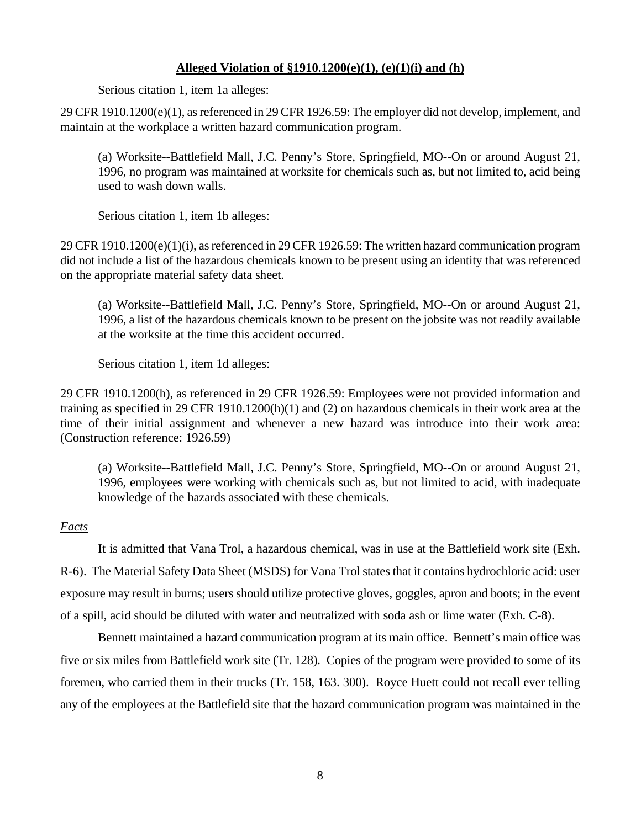# **Alleged Violation of §1910.1200(e)(1), (e)(1)(i) and (h)**

Serious citation 1, item 1a alleges:

29 CFR 1910.1200(e)(1), as referenced in 29 CFR 1926.59: The employer did not develop, implement, and maintain at the workplace a written hazard communication program.

(a) Worksite--Battlefield Mall, J.C. Penny's Store, Springfield, MO--On or around August 21, 1996, no program was maintained at worksite for chemicals such as, but not limited to, acid being used to wash down walls.

Serious citation 1, item 1b alleges:

29 CFR 1910.1200(e)(1)(i), as referenced in 29 CFR 1926.59: The written hazard communication program did not include a list of the hazardous chemicals known to be present using an identity that was referenced on the appropriate material safety data sheet.

(a) Worksite--Battlefield Mall, J.C. Penny's Store, Springfield, MO--On or around August 21, 1996, a list of the hazardous chemicals known to be present on the jobsite was not readily available at the worksite at the time this accident occurred.

Serious citation 1, item 1d alleges:

29 CFR 1910.1200(h), as referenced in 29 CFR 1926.59: Employees were not provided information and training as specified in 29 CFR 1910.1200(h)(1) and (2) on hazardous chemicals in their work area at the time of their initial assignment and whenever a new hazard was introduce into their work area: (Construction reference: 1926.59)

(a) Worksite--Battlefield Mall, J.C. Penny's Store, Springfield, MO--On or around August 21, 1996, employees were working with chemicals such as, but not limited to acid, with inadequate knowledge of the hazards associated with these chemicals.

# *Facts*

It is admitted that Vana Trol, a hazardous chemical, was in use at the Battlefield work site (Exh. R-6). The Material Safety Data Sheet (MSDS) for Vana Trol states that it contains hydrochloric acid: user exposure may result in burns; users should utilize protective gloves, goggles, apron and boots; in the event of a spill, acid should be diluted with water and neutralized with soda ash or lime water (Exh. C-8).

Bennett maintained a hazard communication program at its main office. Bennett's main office was five or six miles from Battlefield work site (Tr. 128). Copies of the program were provided to some of its foremen, who carried them in their trucks (Tr. 158, 163. 300). Royce Huett could not recall ever telling any of the employees at the Battlefield site that the hazard communication program was maintained in the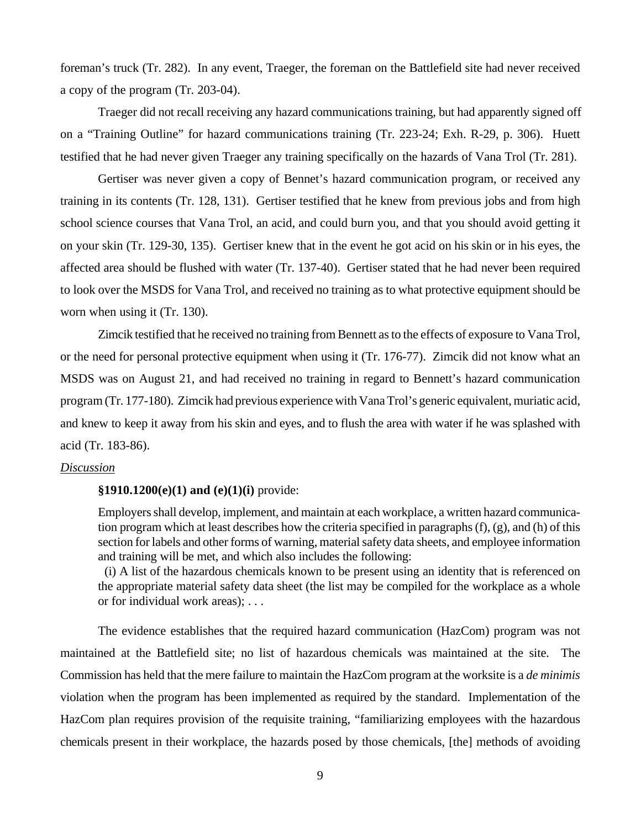foreman's truck (Tr. 282). In any event, Traeger, the foreman on the Battlefield site had never received a copy of the program (Tr. 203-04).

 Traeger did not recall receiving any hazard communications training, but had apparently signed off on a "Training Outline" for hazard communications training (Tr. 223-24; Exh. R-29, p. 306). Huett testified that he had never given Traeger any training specifically on the hazards of Vana Trol (Tr. 281).

Gertiser was never given a copy of Bennet's hazard communication program, or received any training in its contents (Tr. 128, 131). Gertiser testified that he knew from previous jobs and from high school science courses that Vana Trol, an acid, and could burn you, and that you should avoid getting it on your skin (Tr. 129-30, 135). Gertiser knew that in the event he got acid on his skin or in his eyes, the affected area should be flushed with water (Tr. 137-40). Gertiser stated that he had never been required to look over the MSDS for Vana Trol, and received no training as to what protective equipment should be worn when using it (Tr. 130).

Zimcik testified that he received no training from Bennett as to the effects of exposure to Vana Trol, or the need for personal protective equipment when using it (Tr. 176-77). Zimcik did not know what an MSDS was on August 21, and had received no training in regard to Bennett's hazard communication program (Tr. 177-180). Zimcik had previous experience with Vana Trol's generic equivalent, muriatic acid, and knew to keep it away from his skin and eyes, and to flush the area with water if he was splashed with acid (Tr. 183-86).

## *Discussion*

#### **§1910.1200(e)(1) and (e)(1)(i)** provide:

Employers shall develop, implement, and maintain at each workplace, a written hazard communication program which at least describes how the criteria specified in paragraphs (f), (g), and (h) of this section for labels and other forms of warning, material safety data sheets, and employee information and training will be met, and which also includes the following:

 (i) A list of the hazardous chemicals known to be present using an identity that is referenced on the appropriate material safety data sheet (the list may be compiled for the workplace as a whole or for individual work areas); . . .

The evidence establishes that the required hazard communication (HazCom) program was not maintained at the Battlefield site; no list of hazardous chemicals was maintained at the site. The Commission has held that the mere failure to maintain the HazCom program at the worksite is a *de minimis* violation when the program has been implemented as required by the standard. Implementation of the HazCom plan requires provision of the requisite training, "familiarizing employees with the hazardous chemicals present in their workplace, the hazards posed by those chemicals, [the] methods of avoiding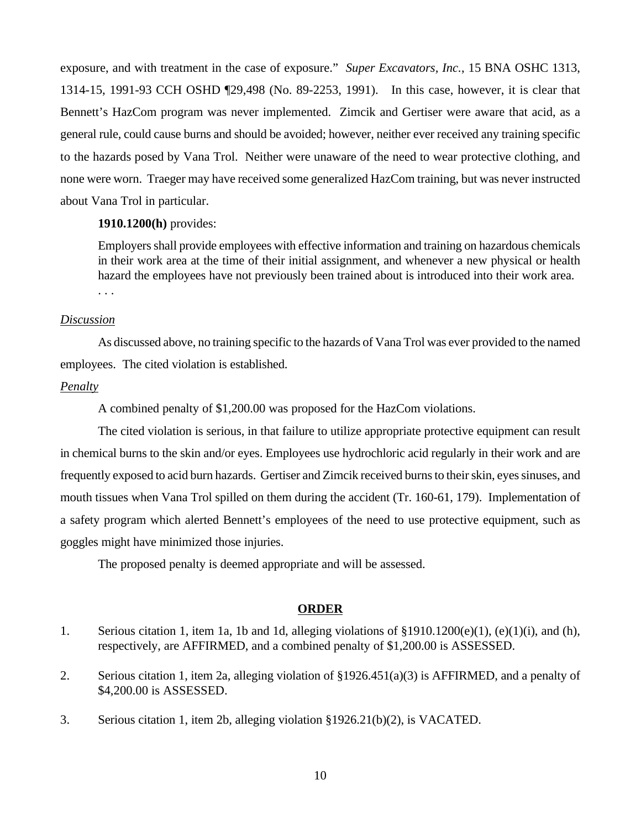exposure, and with treatment in the case of exposure." *Super Excavators, Inc.*, 15 BNA OSHC 1313, 1314-15, 1991-93 CCH OSHD ¶29,498 (No. 89-2253, 1991). In this case, however, it is clear that Bennett's HazCom program was never implemented. Zimcik and Gertiser were aware that acid, as a general rule, could cause burns and should be avoided; however, neither ever received any training specific to the hazards posed by Vana Trol. Neither were unaware of the need to wear protective clothing, and none were worn. Traeger may have received some generalized HazCom training, but was never instructed about Vana Trol in particular.

# **1910.1200(h)** provides:

Employers shall provide employees with effective information and training on hazardous chemicals in their work area at the time of their initial assignment, and whenever a new physical or health hazard the employees have not previously been trained about is introduced into their work area. . . .

## *Discussion*

As discussed above, no training specific to the hazards of Vana Trol was ever provided to the named employees. The cited violation is established.

## *Penalty*

A combined penalty of \$1,200.00 was proposed for the HazCom violations.

The cited violation is serious, in that failure to utilize appropriate protective equipment can result in chemical burns to the skin and/or eyes. Employees use hydrochloric acid regularly in their work and are frequently exposed to acid burn hazards. Gertiser and Zimcik received burns to their skin, eyes sinuses, and mouth tissues when Vana Trol spilled on them during the accident (Tr. 160-61, 179). Implementation of a safety program which alerted Bennett's employees of the need to use protective equipment, such as goggles might have minimized those injuries.

The proposed penalty is deemed appropriate and will be assessed.

#### **ORDER**

- 1. Serious citation 1, item 1a, 1b and 1d, alleging violations of §1910.1200(e)(1), (e)(1)(i), and (h), respectively, are AFFIRMED, and a combined penalty of \$1,200.00 is ASSESSED.
- 2. Serious citation 1, item 2a, alleging violation of §1926.451(a)(3) is AFFIRMED, and a penalty of \$4,200.00 is ASSESSED.
- 3. Serious citation 1, item 2b, alleging violation §1926.21(b)(2), is VACATED.